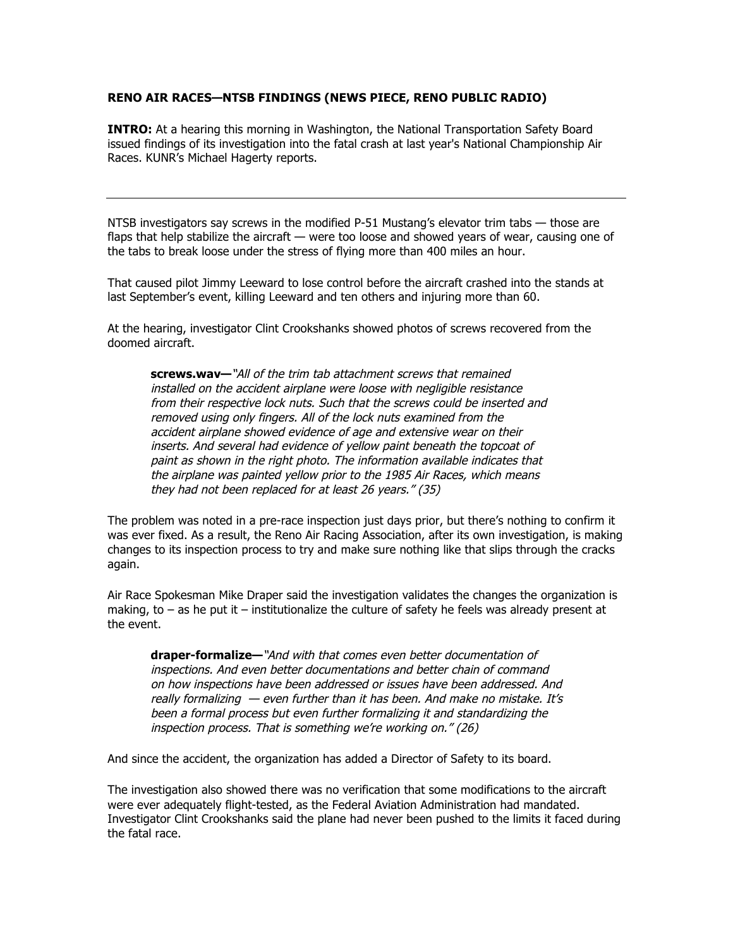## **RENO AIR RACES—NTSB FINDINGS (NEWS PIECE, RENO PUBLIC RADIO)**

**INTRO:** At a hearing this morning in Washington, the National Transportation Safety Board issued findings of its investigation into the fatal crash at last year's National Championship Air Races. KUNR's Michael Hagerty reports.

NTSB investigators say screws in the modified P-51 Mustang's elevator trim tabs — those are flaps that help stabilize the aircraft — were too loose and showed years of wear, causing one of the tabs to break loose under the stress of flying more than 400 miles an hour.

That caused pilot Jimmy Leeward to lose control before the aircraft crashed into the stands at last September's event, killing Leeward and ten others and injuring more than 60.

At the hearing, investigator Clint Crookshanks showed photos of screws recovered from the doomed aircraft.

**screws.wav—**"All of the trim tab attachment screws that remained installed on the accident airplane were loose with negligible resistance from their respective lock nuts. Such that the screws could be inserted and removed using only fingers. All of the lock nuts examined from the accident airplane showed evidence of age and extensive wear on their inserts. And several had evidence of yellow paint beneath the topcoat of paint as shown in the right photo. The information available indicates that the airplane was painted yellow prior to the 1985 Air Races, which means they had not been replaced for at least 26 years." (35)

The problem was noted in a pre-race inspection just days prior, but there's nothing to confirm it was ever fixed. As a result, the Reno Air Racing Association, after its own investigation, is making changes to its inspection process to try and make sure nothing like that slips through the cracks again.

Air Race Spokesman Mike Draper said the investigation validates the changes the organization is making, to  $-$  as he put it  $-$  institutionalize the culture of safety he feels was already present at the event.

**draper-formalize—**"And with that comes even better documentation of inspections. And even better documentations and better chain of command on how inspections have been addressed or issues have been addressed. And really formalizing — even further than it has been. And make no mistake. It's been a formal process but even further formalizing it and standardizing the inspection process. That is something we're working on." (26)

And since the accident, the organization has added a Director of Safety to its board.

The investigation also showed there was no verification that some modifications to the aircraft were ever adequately flight-tested, as the Federal Aviation Administration had mandated. Investigator Clint Crookshanks said the plane had never been pushed to the limits it faced during the fatal race.